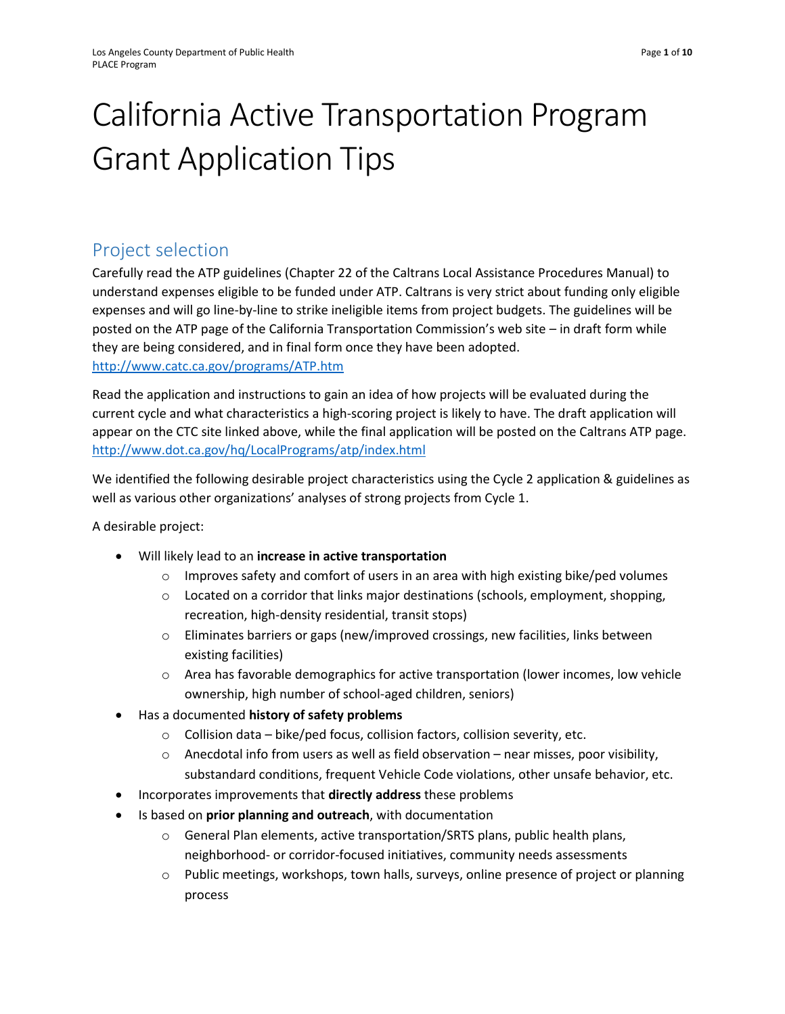# California Active Transportation Program Grant Application Tips

# Project selection

Carefully read the ATP guidelines (Chapter 22 of the Caltrans Local Assistance Procedures Manual) to understand expenses eligible to be funded under ATP. Caltrans is very strict about funding only eligible expenses and will go line-by-line to strike ineligible items from project budgets. The guidelines will be posted on the ATP page of the California Transportation Commission's web site – in draft form while they are being considered, and in final form once they have been adopted. <http://www.catc.ca.gov/programs/ATP.htm>

Read the application and instructions to gain an idea of how projects will be evaluated during the current cycle and what characteristics a high-scoring project is likely to have. The draft application will appear on the CTC site linked above, while the final application will be posted on the Caltrans ATP page. <http://www.dot.ca.gov/hq/LocalPrograms/atp/index.html>

We identified the following desirable project characteristics using the Cycle 2 application & guidelines as well as various other organizations' analyses of strong projects from Cycle 1.

A desirable project:

- Will likely lead to an **increase in active transportation**
	- $\circ$  Improves safety and comfort of users in an area with high existing bike/ped volumes
	- $\circ$  Located on a corridor that links major destinations (schools, employment, shopping, recreation, high-density residential, transit stops)
	- $\circ$  Eliminates barriers or gaps (new/improved crossings, new facilities, links between existing facilities)
	- $\circ$  Area has favorable demographics for active transportation (lower incomes, low vehicle ownership, high number of school-aged children, seniors)
- Has a documented **history of safety problems**
	- o Collision data bike/ped focus, collision factors, collision severity, etc.
	- $\circ$  Anecdotal info from users as well as field observation near misses, poor visibility, substandard conditions, frequent Vehicle Code violations, other unsafe behavior, etc.
- Incorporates improvements that **directly address** these problems
- Is based on **prior planning and outreach**, with documentation
	- o General Plan elements, active transportation/SRTS plans, public health plans, neighborhood- or corridor-focused initiatives, community needs assessments
	- o Public meetings, workshops, town halls, surveys, online presence of project or planning process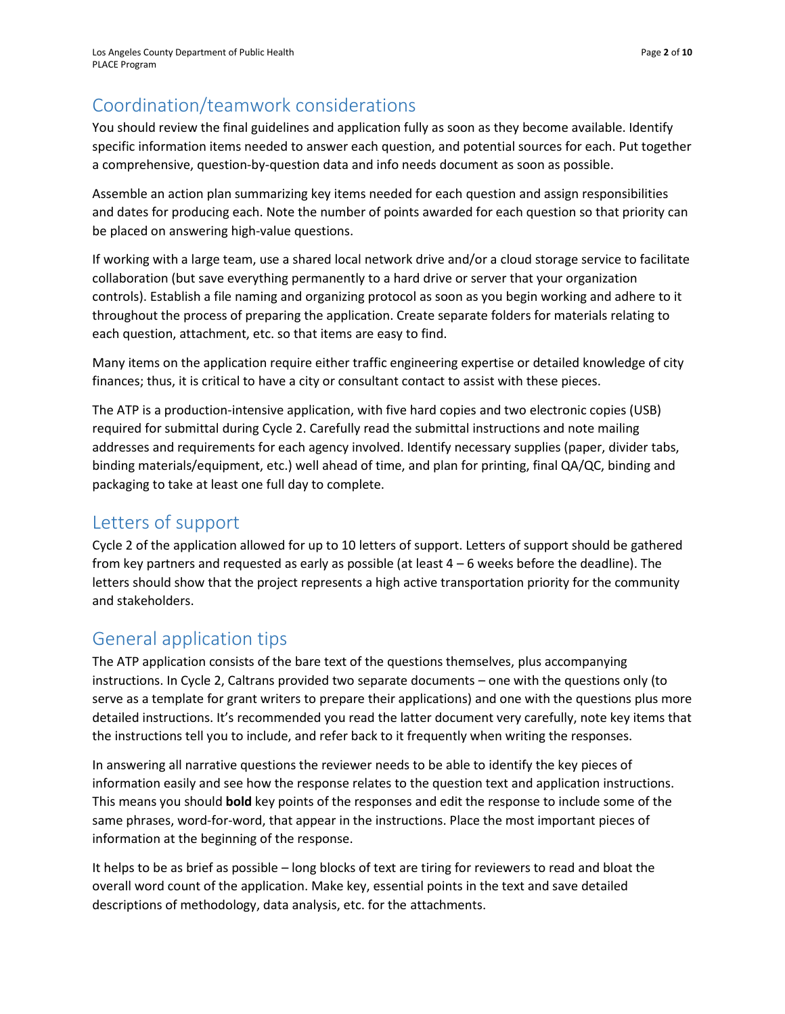# Coordination/teamwork considerations

You should review the final guidelines and application fully as soon as they become available. Identify specific information items needed to answer each question, and potential sources for each. Put together a comprehensive, question-by-question data and info needs document as soon as possible.

Assemble an action plan summarizing key items needed for each question and assign responsibilities and dates for producing each. Note the number of points awarded for each question so that priority can be placed on answering high-value questions.

If working with a large team, use a shared local network drive and/or a cloud storage service to facilitate collaboration (but save everything permanently to a hard drive or server that your organization controls). Establish a file naming and organizing protocol as soon as you begin working and adhere to it throughout the process of preparing the application. Create separate folders for materials relating to each question, attachment, etc. so that items are easy to find.

Many items on the application require either traffic engineering expertise or detailed knowledge of city finances; thus, it is critical to have a city or consultant contact to assist with these pieces.

The ATP is a production-intensive application, with five hard copies and two electronic copies (USB) required for submittal during Cycle 2. Carefully read the submittal instructions and note mailing addresses and requirements for each agency involved. Identify necessary supplies (paper, divider tabs, binding materials/equipment, etc.) well ahead of time, and plan for printing, final QA/QC, binding and packaging to take at least one full day to complete.

# Letters of support

Cycle 2 of the application allowed for up to 10 letters of support. Letters of support should be gathered from key partners and requested as early as possible (at least  $4 - 6$  weeks before the deadline). The letters should show that the project represents a high active transportation priority for the community and stakeholders.

# General application tips

The ATP application consists of the bare text of the questions themselves, plus accompanying instructions. In Cycle 2, Caltrans provided two separate documents – one with the questions only (to serve as a template for grant writers to prepare their applications) and one with the questions plus more detailed instructions. It's recommended you read the latter document very carefully, note key items that the instructions tell you to include, and refer back to it frequently when writing the responses.

In answering all narrative questions the reviewer needs to be able to identify the key pieces of information easily and see how the response relates to the question text and application instructions. This means you should **bold** key points of the responses and edit the response to include some of the same phrases, word-for-word, that appear in the instructions. Place the most important pieces of information at the beginning of the response.

It helps to be as brief as possible – long blocks of text are tiring for reviewers to read and bloat the overall word count of the application. Make key, essential points in the text and save detailed descriptions of methodology, data analysis, etc. for the attachments.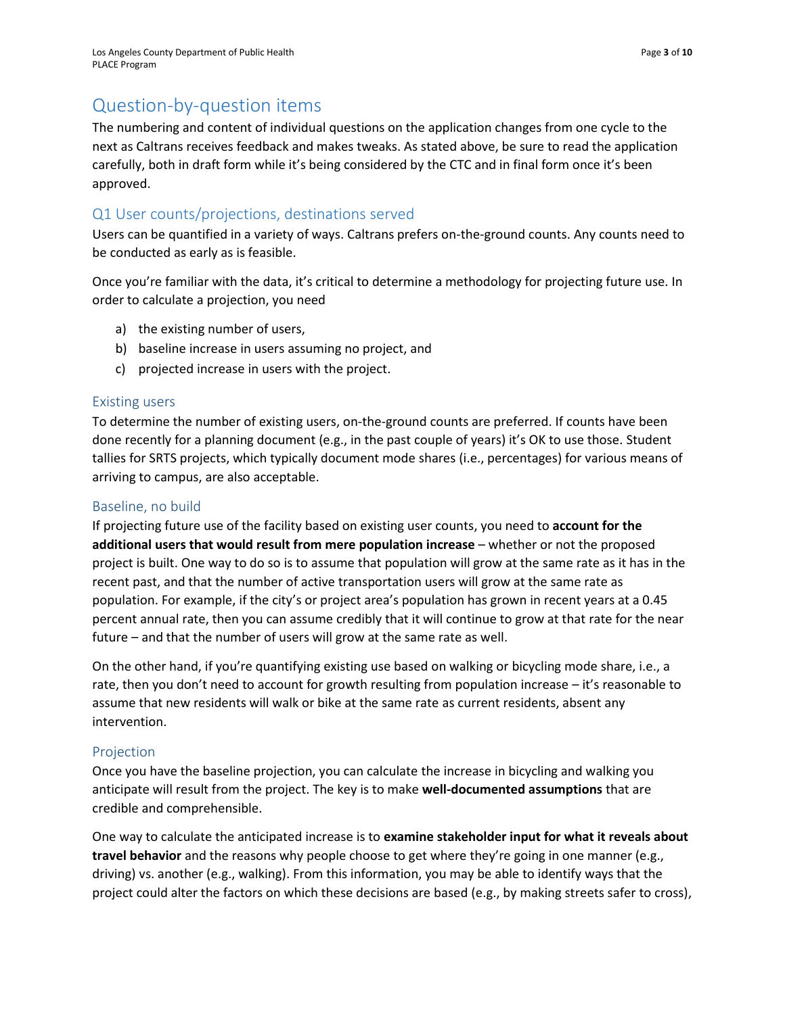# Question-by-question items

The numbering and content of individual questions on the application changes from one cycle to the next as Caltrans receives feedback and makes tweaks. As stated above, be sure to read the application carefully, both in draft form while it's being considered by the CTC and in final form once it's been approved.

# Q1 User counts/projections, destinations served

Users can be quantified in a variety of ways. Caltrans prefers on-the-ground counts. Any counts need to be conducted as early as is feasible.

Once you're familiar with the data, it's critical to determine a methodology for projecting future use. In order to calculate a projection, you need

- a) the existing number of users,
- b) baseline increase in users assuming no project, and
- c) projected increase in users with the project.

## Existing users

To determine the number of existing users, on-the-ground counts are preferred. If counts have been done recently for a planning document (e.g., in the past couple of years) it's OK to use those. Student tallies for SRTS projects, which typically document mode shares (i.e., percentages) for various means of arriving to campus, are also acceptable.

## Baseline, no build

If projecting future use of the facility based on existing user counts, you need to **account for the additional users that would result from mere population increase** – whether or not the proposed project is built. One way to do so is to assume that population will grow at the same rate as it has in the recent past, and that the number of active transportation users will grow at the same rate as population. For example, if the city's or project area's population has grown in recent years at a 0.45 percent annual rate, then you can assume credibly that it will continue to grow at that rate for the near future – and that the number of users will grow at the same rate as well.

On the other hand, if you're quantifying existing use based on walking or bicycling mode share, i.e., a rate, then you don't need to account for growth resulting from population increase – it's reasonable to assume that new residents will walk or bike at the same rate as current residents, absent any intervention.

# Projection

Once you have the baseline projection, you can calculate the increase in bicycling and walking you anticipate will result from the project. The key is to make **well-documented assumptions** that are credible and comprehensible.

One way to calculate the anticipated increase is to **examine stakeholder input for what it reveals about travel behavior** and the reasons why people choose to get where they're going in one manner (e.g., driving) vs. another (e.g., walking). From this information, you may be able to identify ways that the project could alter the factors on which these decisions are based (e.g., by making streets safer to cross),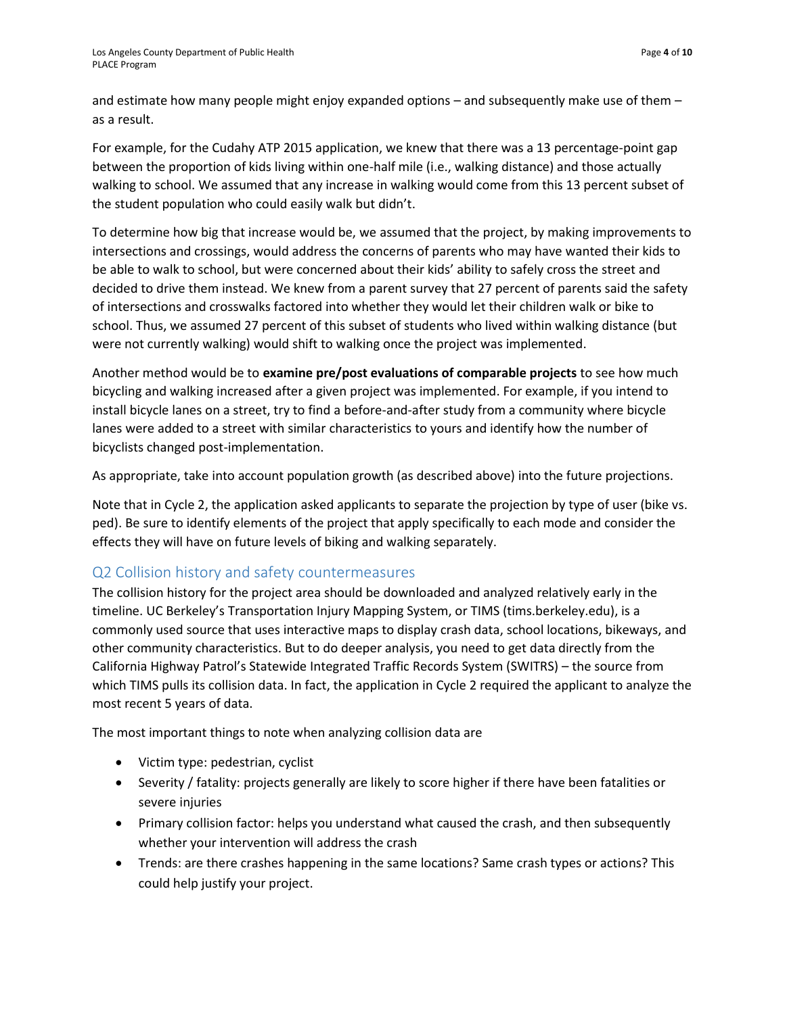and estimate how many people might enjoy expanded options – and subsequently make use of them – as a result.

For example, for the Cudahy ATP 2015 application, we knew that there was a 13 percentage-point gap between the proportion of kids living within one-half mile (i.e., walking distance) and those actually walking to school. We assumed that any increase in walking would come from this 13 percent subset of the student population who could easily walk but didn't.

To determine how big that increase would be, we assumed that the project, by making improvements to intersections and crossings, would address the concerns of parents who may have wanted their kids to be able to walk to school, but were concerned about their kids' ability to safely cross the street and decided to drive them instead. We knew from a parent survey that 27 percent of parents said the safety of intersections and crosswalks factored into whether they would let their children walk or bike to school. Thus, we assumed 27 percent of this subset of students who lived within walking distance (but were not currently walking) would shift to walking once the project was implemented.

Another method would be to **examine pre/post evaluations of comparable projects** to see how much bicycling and walking increased after a given project was implemented. For example, if you intend to install bicycle lanes on a street, try to find a before-and-after study from a community where bicycle lanes were added to a street with similar characteristics to yours and identify how the number of bicyclists changed post-implementation.

As appropriate, take into account population growth (as described above) into the future projections.

Note that in Cycle 2, the application asked applicants to separate the projection by type of user (bike vs. ped). Be sure to identify elements of the project that apply specifically to each mode and consider the effects they will have on future levels of biking and walking separately.

# Q2 Collision history and safety countermeasures

The collision history for the project area should be downloaded and analyzed relatively early in the timeline. UC Berkeley's Transportation Injury Mapping System, or TIMS (tims.berkeley.edu), is a commonly used source that uses interactive maps to display crash data, school locations, bikeways, and other community characteristics. But to do deeper analysis, you need to get data directly from the California Highway Patrol's Statewide Integrated Traffic Records System (SWITRS) – the source from which TIMS pulls its collision data. In fact, the application in Cycle 2 required the applicant to analyze the most recent 5 years of data.

The most important things to note when analyzing collision data are

- Victim type: pedestrian, cyclist
- Severity / fatality: projects generally are likely to score higher if there have been fatalities or severe injuries
- Primary collision factor: helps you understand what caused the crash, and then subsequently whether your intervention will address the crash
- Trends: are there crashes happening in the same locations? Same crash types or actions? This could help justify your project.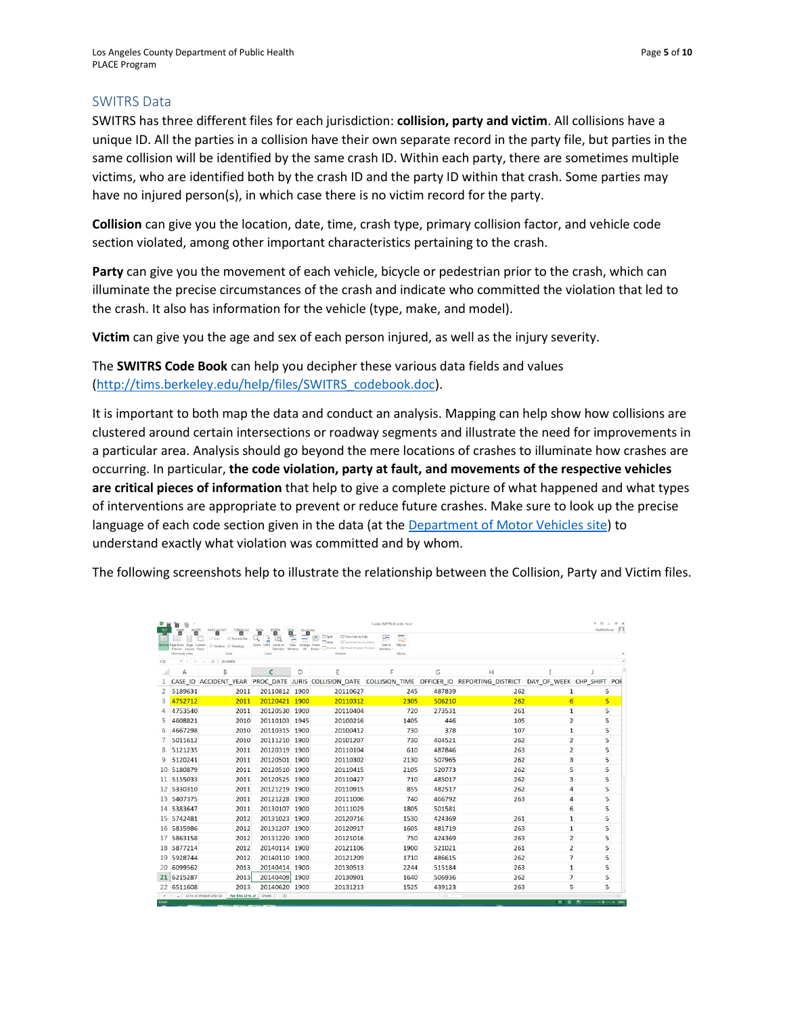#### SWITRS Data

SWITRS has three different files for each jurisdiction: **collision, party and victim**. All collisions have a unique ID. All the parties in a collision have their own separate record in the party file, but parties in the same collision will be identified by the same crash ID. Within each party, there are sometimes multiple victims, who are identified both by the crash ID and the party ID within that crash. Some parties may have no injured person(s), in which case there is no victim record for the party.

**Collision** can give you the location, date, time, crash type, primary collision factor, and vehicle code section violated, among other important characteristics pertaining to the crash.

**Party** can give you the movement of each vehicle, bicycle or pedestrian prior to the crash, which can illuminate the precise circumstances of the crash and indicate who committed the violation that led to the crash. It also has information for the vehicle (type, make, and model).

**Victim** can give you the age and sex of each person injured, as well as the injury severity.

The **SWITRS Code Book** can help you decipher these various data fields and values [\(http://tims.berkeley.edu/help/files/SWITRS\\_codebook.doc\)](http://tims.berkeley.edu/help/files/SWITRS_codebook.doc).

It is important to both map the data and conduct an analysis. Mapping can help show how collisions are clustered around certain intersections or roadway segments and illustrate the need for improvements in a particular area. Analysis should go beyond the mere locations of crashes to illuminate how crashes are occurring. In particular, **the code violation, party at fault, and movements of the respective vehicles are critical pieces of information** that help to give a complete picture of what happened and what types of interventions are appropriate to prevent or reduce future crashes. Make sure to look up the precise language of each code section given in the data (at the [Department of Motor Vehicles site\)](https://www.dmv.ca.gov/portal/dmv/detail/pubs/vctop/vc/vc) to understand exactly what violation was committed and by whom.

The following screenshots help to illustrate the relationship between the Collision, Party and Victim files.

| x<br><b>RE</b>        | 'n<br>'n<br>INSERT<br>HOME                                              | PAGE LAYOUT<br>FORMALAS                | $ \beta$ $\times$<br>Cudahy SWITRS 10 to 14 - Excel<br>2(3)<br>Nall Huffman - O<br>DATA<br>REVIEW<br>QuickHelp |                    |                                                                                  |                                         |             |                                              |                       |      |                          |  |
|-----------------------|-------------------------------------------------------------------------|----------------------------------------|----------------------------------------------------------------------------------------------------------------|--------------------|----------------------------------------------------------------------------------|-----------------------------------------|-------------|----------------------------------------------|-----------------------|------|--------------------------|--|
| ı.                    | 圓                                                                       | M<br>P<br>vil Ruler<br>(c) Formula Bar | A<br>в<br>lo                                                                                                   | W                  | CC View Side by Side<br>$\Box$ Split<br><b>[B]</b> Synchronous Scrolling<br>Hide | ÷                                       |             |                                              |                       |      |                          |  |
|                       | Normal Page Break Page Custom<br>Preview Layout Views<br>Workbook Views | Gridlines V Headings<br>Shaw           | Zoom 100% Zoom to<br>Zoom                                                                                      | New Arrange Freeze | Selection Window All Panes - Unhide Bill Reset Window Position<br>Window         | Switch<br>Macros<br>Windows -<br>Macros |             |                                              |                       |      |                          |  |
| C <sub>21</sub>       |                                                                         | 20140409                               |                                                                                                                |                    |                                                                                  |                                         |             |                                              |                       |      |                          |  |
|                       | A                                                                       | B                                      | C                                                                                                              | D                  | E                                                                                | F                                       | G           | н                                            |                       |      |                          |  |
|                       | <b>CASE ID</b>                                                          | <b>ACCIDENT YEAR</b>                   |                                                                                                                |                    | PROC DATE JURIS COLLISION DATE                                                   |                                         |             | COLLISION TIME OFFICER ID REPORTING DISTRICT | DAY OF WEEK CHP SHIFT |      | POF                      |  |
| $\overline{2}$        | 5189631                                                                 | 2011                                   | 20110812 1900                                                                                                  |                    | 20110627                                                                         | 245                                     | 487839      | 262                                          | 1                     |      | 5                        |  |
| 3                     | 4752712                                                                 | 2011                                   | 20120421 1900                                                                                                  |                    | 20110312                                                                         | 2305                                    | 506210      | 262                                          | 6                     |      | $\overline{5}$           |  |
| 4                     | 4753540                                                                 | 2011                                   | 20120530 1900                                                                                                  |                    | 20110404                                                                         | 720                                     | 273531      | 261                                          | 1                     |      | 5                        |  |
| 5                     | 4608821                                                                 | 2010                                   | 20110103 1945                                                                                                  |                    | 20100216                                                                         | 1405                                    | 446         | 105                                          | $\overline{2}$        |      | 5                        |  |
| 6                     | 4667298                                                                 | 2010                                   | 20110315                                                                                                       | 1900               | 20100412                                                                         | 730                                     | 378         | 107                                          | 1                     |      | 5                        |  |
|                       | 5011612                                                                 | 2010                                   | 20111210                                                                                                       | 1900               | 20101207                                                                         | 730                                     | 404521      | 262                                          | $\overline{2}$        |      | 5                        |  |
| 8                     | 5121235                                                                 | 2011                                   | 20120319                                                                                                       | 1900               | 20110104                                                                         | 610                                     | 487846      | 263                                          | $\overline{2}$        |      | 5                        |  |
| q                     | 5120241                                                                 | 2011                                   | 20120501 1900                                                                                                  |                    | 20110302                                                                         | 2130                                    | 507965      | 262                                          | 3                     |      | 5                        |  |
|                       | 10 5180879                                                              | 2011                                   | 20120510                                                                                                       | 1900               | 20110415                                                                         | 2105                                    | 520773      | 262                                          | 5                     |      | 5                        |  |
|                       | 11 5155033                                                              | 2011                                   | 20120525                                                                                                       | 1900               | 20110427                                                                         | 710                                     | 485017      | 262                                          | 3                     |      | 5                        |  |
| $12 \overline{ }$     | 5330310                                                                 | 2011                                   | 20121219                                                                                                       | 1900               | 20110915                                                                         | 855                                     | 482517      | 262                                          | 4                     |      | 5                        |  |
| 13                    | 5407375                                                                 | 2011                                   | 20121228                                                                                                       | 1900               | 20111006                                                                         | 740                                     | 466792      | 263                                          | 4                     |      | 5                        |  |
|                       | 14 5383647                                                              | 2011                                   | 20130107                                                                                                       | 1900               | 20111029                                                                         | 1805                                    | 501581      |                                              | 6                     |      | 5                        |  |
| 15                    | 5742481                                                                 | 2012                                   | 20131023 1900                                                                                                  |                    | 20120716                                                                         | 1530                                    | 424369      | 261                                          | $\mathbf{1}$          |      | 5                        |  |
| 16                    | 5835986                                                                 | 2012                                   | 20131207                                                                                                       | 1900               | 20120917                                                                         | 1605                                    | 481719      | 263                                          | $\mathbf{1}$          |      | 5                        |  |
| 17                    | 5863158                                                                 | 2012                                   | 20131220                                                                                                       | 1900               | 20121016                                                                         | 750                                     | 424369      | 263                                          | $\overline{2}$        |      | 5                        |  |
|                       | 18 5877214                                                              | 2012                                   | 20140114                                                                                                       | 1900               | 20121106                                                                         | 1900                                    | 521021      | 261                                          | $\overline{2}$        |      | 5                        |  |
| 19                    | 5928744                                                                 | 2012                                   | 20140110                                                                                                       | 1900               | 20121209                                                                         | 1710                                    | 486615      | 262                                          | $\overline{7}$        |      | 5                        |  |
| 20                    | 6099562                                                                 | 2013                                   | 20140414                                                                                                       | 1900               | 20130513                                                                         | 2244                                    | 515184      | 263                                          | $\mathbf{1}$          |      | 5                        |  |
|                       | 21 6215287                                                              | 2013                                   | 20140409                                                                                                       | 1900               | 20130901                                                                         | 1640                                    | 506936      | 262                                          | $\overline{7}$        |      | 5                        |  |
|                       | 22 6511608                                                              | 2013                                   | 20140620                                                                                                       | 1900               | 20131213                                                                         | 1525                                    | 439123      | 263                                          | 5                     |      | 5                        |  |
| $\leftarrow$<br>READY | 10 to 14 (Project Only) (2)                                             | Ped-Bike 10 to 14                      | $\circledR$<br>Sheet6                                                                                          |                    |                                                                                  |                                         | $  \cdot  $ |                                              | 田<br>$\blacksquare$   | 四 -- | $\overline{\phantom{a}}$ |  |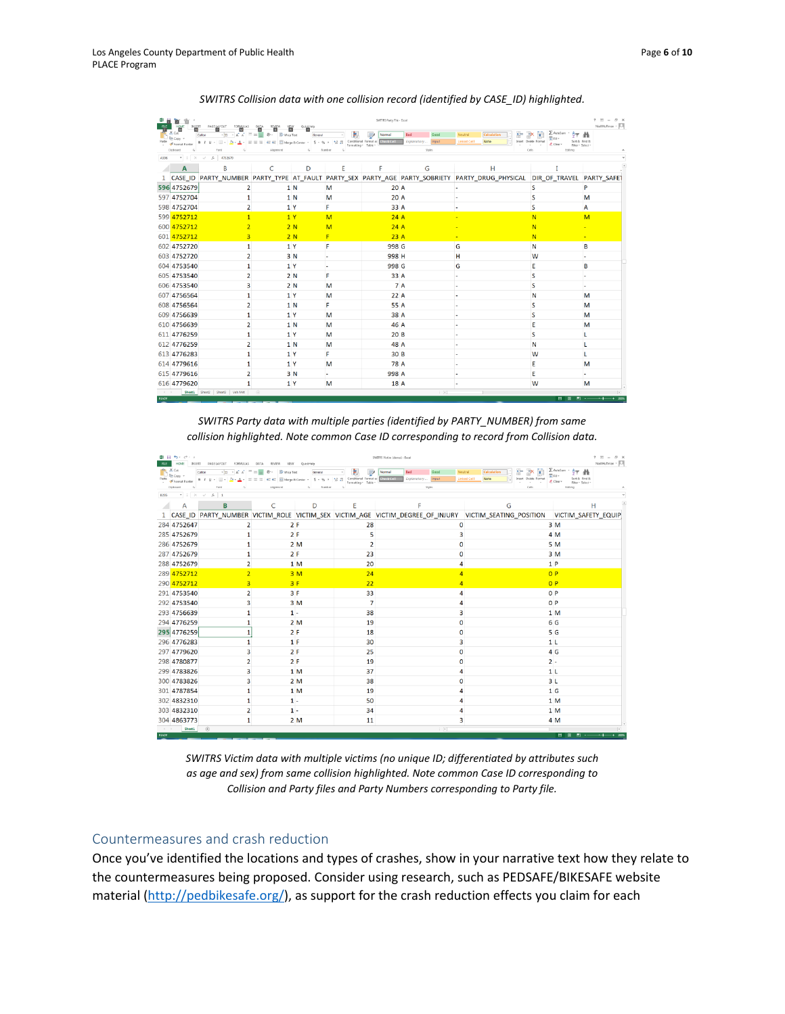| 中国盲目<br>SWITRS Party File - Excel<br>$\begin{array}{c cccccc} \mathsf{HOME} & \mathsf{DMSERT} & \mathsf{PAGE} & \mathsf{LAVOUT} & \mathsf{FORMULAS} & \mathsf{DAIA} \\ \hline \mathsf{EB} & \mathsf{EB} & \mathsf{EB} & \mathsf{EB} & \mathsf{EB} \end{array}$<br><b>FLE</b><br>REVIEW<br>WEW<br>QuickHelp |                                                        |                                                                                                                                                                    |                |                |                                                               |            |                                     |                                                                                                   | $7 \times - 9 \times$<br>Nall Huffman - O                                                   |                          |  |
|------------------------------------------------------------------------------------------------------------------------------------------------------------------------------------------------------------------------------------------------------------------------------------------------------------|--------------------------------------------------------|--------------------------------------------------------------------------------------------------------------------------------------------------------------------|----------------|----------------|---------------------------------------------------------------|------------|-------------------------------------|---------------------------------------------------------------------------------------------------|---------------------------------------------------------------------------------------------|--------------------------|--|
| Paste                                                                                                                                                                                                                                                                                                      | X <sup>th</sup><br>$\Box$ $_{\text{Eq\text{ Copy}}}$ . | $\cdot$ $\left  \mathbf{u} \right $ $\cdot$ $\left  \mathbf{a} \right $ $\mathbf{a}$ $\left  \mathbf{a} \right $ $\mathbf{b}$ $\mathbf{b}$ $\mathbf{c}$<br>Calibri | R<br>Wrap Text | General        |                                                               | Normal     | Bad<br>Good<br>Exploratory<br>Input | 과<br>Noutral<br>Calculation<br>$\boxplus$<br><b>Linked Cell</b><br>Note                           | E AutoSum -<br>外曲<br>×.<br>国 Film<br><b>Figure</b><br>Insert Delete Format<br>Sort & Find & |                          |  |
|                                                                                                                                                                                                                                                                                                            | Format Painter<br>Clipboard<br>$\overline{a}$          | B / 旦 - 田 - ☆ - △ - 三 三 仁 仁 田 Marge & Carter - S - % ,   % # Conditional Format as Check Coll<br>Ford                                                              | Alignment      | $\sim$         | Formatting . Table .<br>Number<br>$\mathcal{L}_{\mathcal{L}}$ |            | Styles                              |                                                                                                   | Clear-<br>$\sim$<br>Filter . Select .<br>Celli<br>Editing                                   |                          |  |
| $\tau$ : $\times$ $\check{f}$ 4752679<br>AS96                                                                                                                                                                                                                                                              |                                                        |                                                                                                                                                                    |                |                |                                                               |            |                                     |                                                                                                   |                                                                                             |                          |  |
|                                                                                                                                                                                                                                                                                                            | $\mathbf{A}$                                           | B                                                                                                                                                                  | C              | D              | E                                                             | F          | G                                   | н                                                                                                 |                                                                                             |                          |  |
|                                                                                                                                                                                                                                                                                                            |                                                        |                                                                                                                                                                    |                |                |                                                               |            |                                     | 1 CASE_ID PARTY_NUMBER PARTY_TYPE AT_FAULT PARTY_SEX PARTY_AGE PARTY_SOBRIETY PARTY_DRUG_PHYSICAL | DIR OF TRAVEL PARTY SAFET                                                                   |                          |  |
|                                                                                                                                                                                                                                                                                                            | 596 4752679                                            | $\overline{2}$                                                                                                                                                     |                | 1 N            | M                                                             | 20 A       |                                     |                                                                                                   | S                                                                                           | P                        |  |
|                                                                                                                                                                                                                                                                                                            | 597 4752704                                            | 1                                                                                                                                                                  |                | 1 <sub>N</sub> | M                                                             | 20 A       |                                     |                                                                                                   | S                                                                                           | M                        |  |
|                                                                                                                                                                                                                                                                                                            | 598 4752704                                            | 2                                                                                                                                                                  |                | 1 <sup>Y</sup> | F                                                             | 33 A       |                                     |                                                                                                   | S                                                                                           | А                        |  |
|                                                                                                                                                                                                                                                                                                            | 599 4752712                                            |                                                                                                                                                                    |                | 1Y             | M                                                             | 24A        |                                     |                                                                                                   | N                                                                                           | M                        |  |
|                                                                                                                                                                                                                                                                                                            | 600 4752712                                            |                                                                                                                                                                    |                | 2N             | M                                                             | 24A        |                                     |                                                                                                   | N                                                                                           |                          |  |
|                                                                                                                                                                                                                                                                                                            | 601 4752712                                            | 3                                                                                                                                                                  |                | 2N             | F                                                             | 23A        |                                     |                                                                                                   | N                                                                                           | ٠                        |  |
|                                                                                                                                                                                                                                                                                                            | 602 4752720                                            | 1                                                                                                                                                                  |                | 1 Y            | F                                                             | 998 G      |                                     | G                                                                                                 | N                                                                                           | B                        |  |
|                                                                                                                                                                                                                                                                                                            | 603 4752720                                            | $\overline{2}$                                                                                                                                                     |                | 3 N            |                                                               | 998 H      |                                     | н                                                                                                 | W                                                                                           | ۰                        |  |
|                                                                                                                                                                                                                                                                                                            | 604 4753540                                            | $\mathbf{1}$                                                                                                                                                       |                | 1 Y            | $\overline{\phantom{a}}$                                      | 998 G      |                                     | G                                                                                                 | E                                                                                           | B                        |  |
|                                                                                                                                                                                                                                                                                                            | 605 4753540                                            | 2                                                                                                                                                                  |                | 2N             | F                                                             | 33 A       |                                     |                                                                                                   | S                                                                                           | $\overline{\phantom{a}}$ |  |
|                                                                                                                                                                                                                                                                                                            | 606 4753540                                            | 3                                                                                                                                                                  |                | 2N             | M                                                             | <b>7</b> A |                                     |                                                                                                   | s                                                                                           | ×.                       |  |
|                                                                                                                                                                                                                                                                                                            | 607 4756564                                            | 1                                                                                                                                                                  |                | 1Y             | M                                                             | 22A        |                                     |                                                                                                   | N                                                                                           | M                        |  |
|                                                                                                                                                                                                                                                                                                            | 608 4756564                                            | 2                                                                                                                                                                  |                | 1 N            | F                                                             | 55 A       |                                     |                                                                                                   | S                                                                                           | M                        |  |
|                                                                                                                                                                                                                                                                                                            | 609 475 6639                                           | 1                                                                                                                                                                  |                | 1 Y            | М                                                             | 38 A       |                                     |                                                                                                   | S                                                                                           | M                        |  |
|                                                                                                                                                                                                                                                                                                            | 610 4756639                                            | $\overline{2}$                                                                                                                                                     |                | 1 N            | M                                                             | 46 A       |                                     |                                                                                                   | E                                                                                           | M                        |  |
|                                                                                                                                                                                                                                                                                                            | 611 4776259                                            | 1                                                                                                                                                                  |                | 1 <sup>Y</sup> | M                                                             | 20B        |                                     |                                                                                                   | S                                                                                           |                          |  |
|                                                                                                                                                                                                                                                                                                            | 612 4776259                                            | $\overline{2}$                                                                                                                                                     |                | 1 N            | M                                                             | 48 A       |                                     |                                                                                                   | N                                                                                           |                          |  |
|                                                                                                                                                                                                                                                                                                            | 613 4776283                                            | 1                                                                                                                                                                  |                | 1Y             | F                                                             | 30B        |                                     |                                                                                                   | W                                                                                           |                          |  |
|                                                                                                                                                                                                                                                                                                            | 614 4779616                                            | 1                                                                                                                                                                  |                | 1 Y            | M                                                             | 78 A       |                                     |                                                                                                   | E                                                                                           | M                        |  |
|                                                                                                                                                                                                                                                                                                            | 615 4779616                                            | 2                                                                                                                                                                  |                | 3 N            |                                                               | 998 A      |                                     |                                                                                                   | E                                                                                           | $\overline{\phantom{a}}$ |  |
|                                                                                                                                                                                                                                                                                                            | 616 4779620                                            |                                                                                                                                                                    |                | 1Y             | M                                                             | 18 A       |                                     |                                                                                                   | W                                                                                           | M                        |  |
| $\epsilon \rightarrow$<br><b>READY</b>                                                                                                                                                                                                                                                                     |                                                        | Sheet1 Sheet2 Sheet3 Veh Mrt                                                                                                                                       | $\bigoplus$    |                |                                                               |            | $  -  $                             |                                                                                                   | m                                                                                           | <b>IV</b>                |  |

*SWITRS Collision data with one collision record (identified by CASE\_ID) highlighted.*

*SWITRS Party data with multiple parties (identified by PARTY\_NUMBER) from same collision highlighted. Note common Case ID corresponding to record from Collision data.*

| <b>RE</b>                                          | 車 目 ち・で・・<br>$ \beta$ $\times$<br>$-783$<br>SWITRS Victim (demo) - Excel<br>Nall Huffman - ICI<br>HOME<br>INSERT<br>PAGE LAYOUT<br>FORMALAS<br>REVIEW<br>QuickHelp<br>DATA<br>VIEW |                                                                                                                                                 |                                    |                                              |                                                     |                                                      |                                                                                                                                          |                                                                                       |  |  |
|----------------------------------------------------|------------------------------------------------------------------------------------------------------------------------------------------------------------------------------------|-------------------------------------------------------------------------------------------------------------------------------------------------|------------------------------------|----------------------------------------------|-----------------------------------------------------|------------------------------------------------------|------------------------------------------------------------------------------------------------------------------------------------------|---------------------------------------------------------------------------------------|--|--|
| Paste                                              | <b>D</b> Be Copy<br>Format Painter<br>Clipboard                                                                                                                                    | $\cdot$ 11 $\cdot$ A A<br>B I U - ① - △ - 三 = 在 - 日 - A - 三 = 三 左 - 三 日 Marge & Center - S - % , ' % 2 Conditional Format as Check Coll<br>Ford | Wrap Text<br>$\equiv$<br>Alignment | General<br>$\overline{\mathbf{a}}$<br>Number | Formatting . Table .<br>$\mathcal{C}_{\mathcal{A}}$ | Bad<br>Good<br>Normal<br>Exploratory Input<br>Styles | ÷<br>Noutral<br>Calculation<br><b>But</b><br>Insert Delete Format<br><b>Linked Cell</b><br>Note<br>$\frac{1}{2}$<br><b>1999</b><br>Celli | E AutoSum ·<br>97 M<br>Φm-<br>Sort & Find &<br>Clear+<br>Filter . Select .<br>Editing |  |  |
| $-1$ $\times$ $\times$ $6$ 1<br>8295               |                                                                                                                                                                                    |                                                                                                                                                 |                                    |                                              |                                                     |                                                      |                                                                                                                                          |                                                                                       |  |  |
|                                                    | Α                                                                                                                                                                                  | B                                                                                                                                               | C                                  | D                                            | Ε                                                   | F                                                    | G                                                                                                                                        | н                                                                                     |  |  |
|                                                    |                                                                                                                                                                                    |                                                                                                                                                 |                                    |                                              |                                                     |                                                      | 1 CASE_ID PARTY_NUMBER VICTIM_ROLE VICTIM_SEX VICTIM_AGE VICTIM_DEGREE_OF_INJURY VICTIM_SEATING_POSITION VICTIM_SAFETY_EQUIP             |                                                                                       |  |  |
|                                                    | 284 4752647                                                                                                                                                                        | $\overline{2}$                                                                                                                                  | 2F                                 |                                              | 28                                                  | 0                                                    |                                                                                                                                          | 3M                                                                                    |  |  |
|                                                    | 285 4752679                                                                                                                                                                        | 1                                                                                                                                               | 2F                                 |                                              | 5                                                   | 3                                                    |                                                                                                                                          | 4 M                                                                                   |  |  |
|                                                    | 286 4752679                                                                                                                                                                        | 1                                                                                                                                               |                                    | 2M                                           | $\overline{2}$                                      | 0                                                    |                                                                                                                                          | 5 M                                                                                   |  |  |
|                                                    | 287 4752679                                                                                                                                                                        | 1                                                                                                                                               | 2F                                 |                                              | 23                                                  | 0                                                    |                                                                                                                                          | 3M                                                                                    |  |  |
|                                                    | 288 4752679                                                                                                                                                                        | 2                                                                                                                                               |                                    | 1 <sub>M</sub>                               | 20                                                  | 4                                                    |                                                                                                                                          | 1P                                                                                    |  |  |
|                                                    | 289 4752712                                                                                                                                                                        | $\overline{2}$                                                                                                                                  |                                    | 3M                                           | 24                                                  | 4                                                    |                                                                                                                                          | 0P                                                                                    |  |  |
|                                                    | 290 4752712                                                                                                                                                                        | 3                                                                                                                                               | 3F                                 |                                              | 22                                                  |                                                      |                                                                                                                                          | 0P                                                                                    |  |  |
|                                                    | 291 4753540                                                                                                                                                                        | $\overline{2}$                                                                                                                                  | 3F                                 |                                              | 33                                                  | 4                                                    |                                                                                                                                          | O <sub>P</sub>                                                                        |  |  |
|                                                    | 292 4753540                                                                                                                                                                        | 3                                                                                                                                               |                                    | 3M                                           | $\overline{7}$                                      | Δ                                                    |                                                                                                                                          | 0P                                                                                    |  |  |
|                                                    | 293 4756639                                                                                                                                                                        | 1                                                                                                                                               | $1 -$                              |                                              | 38                                                  | 3                                                    |                                                                                                                                          | 1 <sub>M</sub>                                                                        |  |  |
|                                                    | 294 4776259                                                                                                                                                                        | 1                                                                                                                                               |                                    | 2M                                           | 19                                                  | $\Omega$                                             |                                                                                                                                          | 6 G                                                                                   |  |  |
|                                                    | 295 4776259                                                                                                                                                                        | 1                                                                                                                                               | 2F                                 |                                              | 18                                                  | 0                                                    |                                                                                                                                          | 5 G                                                                                   |  |  |
|                                                    | 296 4776283                                                                                                                                                                        | $\mathbf{1}$                                                                                                                                    | 1 F                                |                                              | 30                                                  | 3                                                    |                                                                                                                                          | 1 <sub>l</sub>                                                                        |  |  |
|                                                    | 297 4779620                                                                                                                                                                        | 3                                                                                                                                               | 2F                                 |                                              | 25                                                  | 0                                                    |                                                                                                                                          | 4 G                                                                                   |  |  |
|                                                    | 298 4780877                                                                                                                                                                        | 2                                                                                                                                               | 2F                                 |                                              | 19                                                  | $\mathbf 0$                                          |                                                                                                                                          | $2 -$                                                                                 |  |  |
|                                                    | 299 4783826                                                                                                                                                                        | 3                                                                                                                                               |                                    | 1 M                                          | 37                                                  | Δ                                                    |                                                                                                                                          | 1 <sub>L</sub>                                                                        |  |  |
|                                                    | 300 4783826                                                                                                                                                                        | 3                                                                                                                                               |                                    | 2M                                           | 38                                                  | O                                                    |                                                                                                                                          | 3L                                                                                    |  |  |
|                                                    | 301 4787854                                                                                                                                                                        | 1                                                                                                                                               |                                    | 1 M                                          | 19                                                  |                                                      |                                                                                                                                          | 1 <sub>G</sub>                                                                        |  |  |
|                                                    | 302 4832310                                                                                                                                                                        | 1                                                                                                                                               | $1 -$                              |                                              | 50                                                  |                                                      |                                                                                                                                          | 1 <sub>M</sub>                                                                        |  |  |
|                                                    | 303 4832310                                                                                                                                                                        | 2                                                                                                                                               | $1 -$                              |                                              | 34                                                  |                                                      |                                                                                                                                          | 1 M                                                                                   |  |  |
|                                                    | 304 4863773                                                                                                                                                                        | 1                                                                                                                                               |                                    | 2M                                           | 11                                                  | 3                                                    |                                                                                                                                          | 4 M                                                                                   |  |  |
| $\langle \cdot \cdot \cdot \cdot \rangle$<br>READY | Sheet1                                                                                                                                                                             | $\circledR$                                                                                                                                     |                                    |                                              |                                                     | $\left\vert \cdot\right\vert$                        |                                                                                                                                          |                                                                                       |  |  |



#### Countermeasures and crash reduction

Once you've identified the locations and types of crashes, show in your narrative text how they relate to the countermeasures being proposed. Consider using research, such as PEDSAFE/BIKESAFE website material [\(http://pedbikesafe.org/\)](http://pedbikesafe.org/), as support for the crash reduction effects you claim for each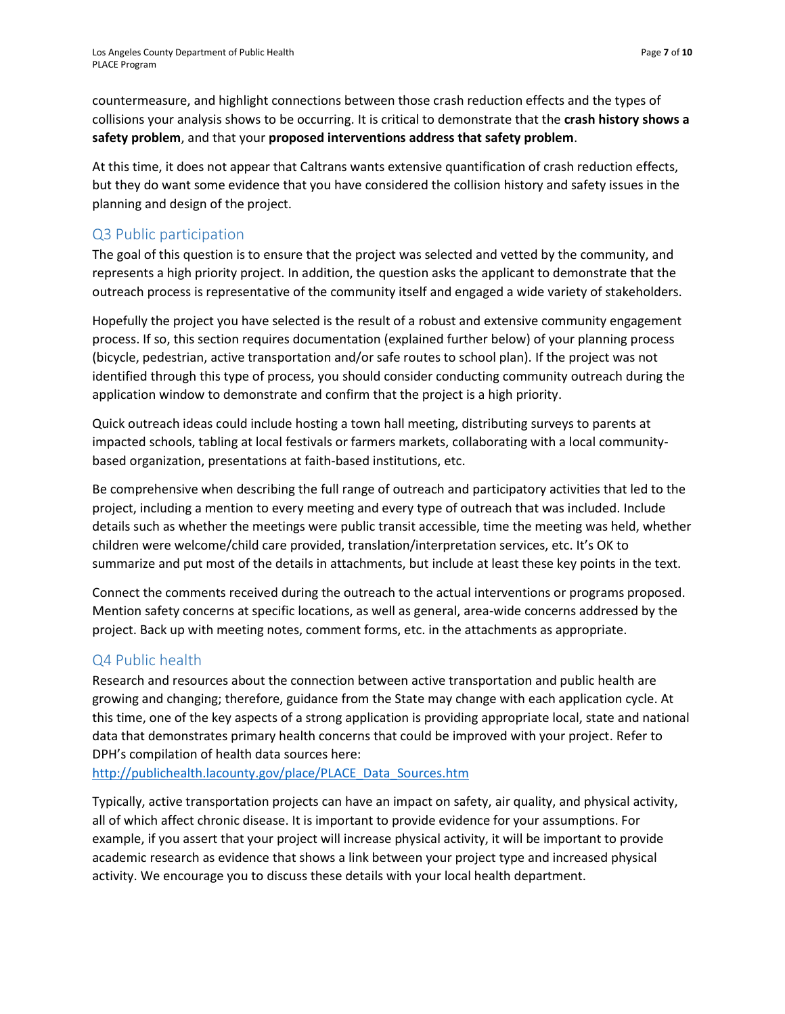countermeasure, and highlight connections between those crash reduction effects and the types of collisions your analysis shows to be occurring. It is critical to demonstrate that the **crash history shows a safety problem**, and that your **proposed interventions address that safety problem**.

At this time, it does not appear that Caltrans wants extensive quantification of crash reduction effects, but they do want some evidence that you have considered the collision history and safety issues in the planning and design of the project.

# Q3 Public participation

The goal of this question is to ensure that the project was selected and vetted by the community, and represents a high priority project. In addition, the question asks the applicant to demonstrate that the outreach process is representative of the community itself and engaged a wide variety of stakeholders.

Hopefully the project you have selected is the result of a robust and extensive community engagement process. If so, this section requires documentation (explained further below) of your planning process (bicycle, pedestrian, active transportation and/or safe routes to school plan). If the project was not identified through this type of process, you should consider conducting community outreach during the application window to demonstrate and confirm that the project is a high priority.

Quick outreach ideas could include hosting a town hall meeting, distributing surveys to parents at impacted schools, tabling at local festivals or farmers markets, collaborating with a local communitybased organization, presentations at faith-based institutions, etc.

Be comprehensive when describing the full range of outreach and participatory activities that led to the project, including a mention to every meeting and every type of outreach that was included. Include details such as whether the meetings were public transit accessible, time the meeting was held, whether children were welcome/child care provided, translation/interpretation services, etc. It's OK to summarize and put most of the details in attachments, but include at least these key points in the text.

Connect the comments received during the outreach to the actual interventions or programs proposed. Mention safety concerns at specific locations, as well as general, area-wide concerns addressed by the project. Back up with meeting notes, comment forms, etc. in the attachments as appropriate.

# Q4 Public health

Research and resources about the connection between active transportation and public health are growing and changing; therefore, guidance from the State may change with each application cycle. At this time, one of the key aspects of a strong application is providing appropriate local, state and national data that demonstrates primary health concerns that could be improved with your project. Refer to DPH's compilation of health data sources here:

[http://publichealth.lacounty.gov/place/PLACE\\_Data\\_Sources.htm](http://publichealth.lacounty.gov/place/PLACE_Data_Sources.htm)

Typically, active transportation projects can have an impact on safety, air quality, and physical activity, all of which affect chronic disease. It is important to provide evidence for your assumptions. For example, if you assert that your project will increase physical activity, it will be important to provide academic research as evidence that shows a link between your project type and increased physical activity. We encourage you to discuss these details with your local health department.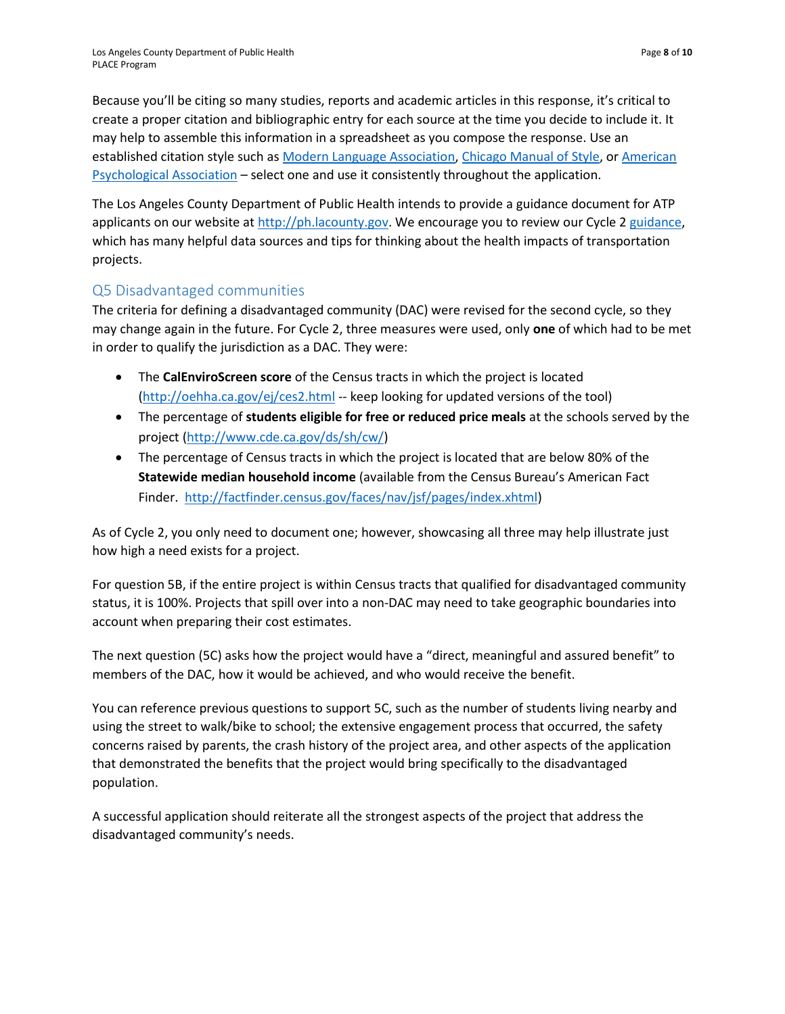Because you'll be citing so many studies, reports and academic articles in this response, it's critical to create a proper citation and bibliographic entry for each source at the time you decide to include it. It may help to assemble this information in a spreadsheet as you compose the response. Use an established citation style such as [Modern Language Association,](https://www.mla.org/) [Chicago Manual of Style,](http://www.chicagomanualofstyle.org/tools_citationguide.html) or American [Psychological Association](http://www.apastyle.org/) – select one and use it consistently throughout the application.

The Los Angeles County Department of Public Health intends to provide a guidance document for ATP applicants on our website at [http://ph.lacounty.gov.](http://ph.lacounty.gov/) We encourage you to review our Cycle 2 [guidance,](http://publichealth.lacounty.gov/chronic/docs/LA%20Co%20DPH%20Guide%20for%20ATP%202015.pdf) which has many helpful data sources and tips for thinking about the health impacts of transportation projects.

#### Q5 Disadvantaged communities

The criteria for defining a disadvantaged community (DAC) were revised for the second cycle, so they may change again in the future. For Cycle 2, three measures were used, only **one** of which had to be met in order to qualify the jurisdiction as a DAC. They were:

- The **CalEnviroScreen score** of the Census tracts in which the project is located [\(http://oehha.ca.gov/ej/ces2.html](http://oehha.ca.gov/ej/ces2.html) -- keep looking for updated versions of the tool)
- The percentage of **students eligible for free or reduced price meals** at the schools served by the project [\(http://www.cde.ca.gov/ds/sh/cw/\)](http://www.cde.ca.gov/ds/sh/cw/)
- The percentage of Census tracts in which the project is located that are below 80% of the **Statewide median household income** (available from the Census Bureau's American Fact Finder. [http://factfinder.census.gov/faces/nav/jsf/pages/index.xhtml\)](http://factfinder.census.gov/faces/nav/jsf/pages/index.xhtml)

As of Cycle 2, you only need to document one; however, showcasing all three may help illustrate just how high a need exists for a project.

For question 5B, if the entire project is within Census tracts that qualified for disadvantaged community status, it is 100%. Projects that spill over into a non-DAC may need to take geographic boundaries into account when preparing their cost estimates.

The next question (5C) asks how the project would have a "direct, meaningful and assured benefit" to members of the DAC, how it would be achieved, and who would receive the benefit.

You can reference previous questions to support 5C, such as the number of students living nearby and using the street to walk/bike to school; the extensive engagement process that occurred, the safety concerns raised by parents, the crash history of the project area, and other aspects of the application that demonstrated the benefits that the project would bring specifically to the disadvantaged population.

A successful application should reiterate all the strongest aspects of the project that address the disadvantaged community's needs.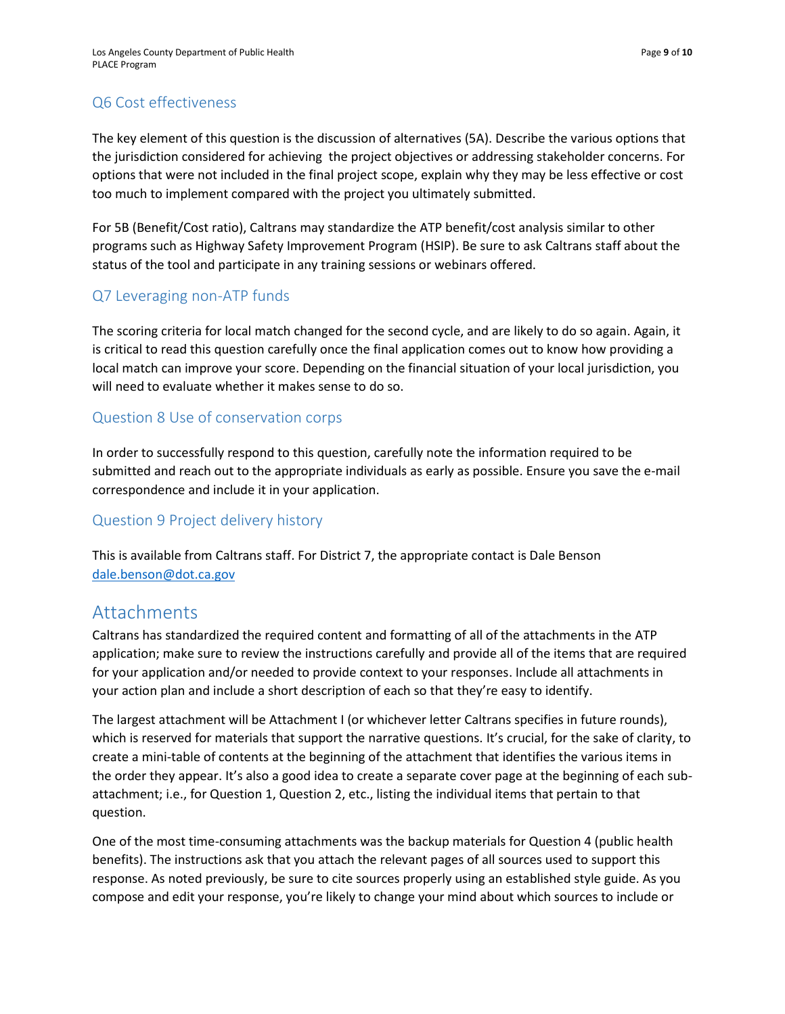# Q6 Cost effectiveness

The key element of this question is the discussion of alternatives (5A). Describe the various options that the jurisdiction considered for achieving the project objectives or addressing stakeholder concerns. For options that were not included in the final project scope, explain why they may be less effective or cost too much to implement compared with the project you ultimately submitted.

For 5B (Benefit/Cost ratio), Caltrans may standardize the ATP benefit/cost analysis similar to other programs such as Highway Safety Improvement Program (HSIP). Be sure to ask Caltrans staff about the status of the tool and participate in any training sessions or webinars offered.

# Q7 Leveraging non-ATP funds

The scoring criteria for local match changed for the second cycle, and are likely to do so again. Again, it is critical to read this question carefully once the final application comes out to know how providing a local match can improve your score. Depending on the financial situation of your local jurisdiction, you will need to evaluate whether it makes sense to do so.

#### Question 8 Use of conservation corps

In order to successfully respond to this question, carefully note the information required to be submitted and reach out to the appropriate individuals as early as possible. Ensure you save the e-mail correspondence and include it in your application.

#### Question 9 Project delivery history

This is available from Caltrans staff. For District 7, the appropriate contact is Dale Benson [dale.benson@dot.ca.gov](mailto:dale.benson@dot.ca.gov)

# Attachments

Caltrans has standardized the required content and formatting of all of the attachments in the ATP application; make sure to review the instructions carefully and provide all of the items that are required for your application and/or needed to provide context to your responses. Include all attachments in your action plan and include a short description of each so that they're easy to identify.

The largest attachment will be Attachment I (or whichever letter Caltrans specifies in future rounds), which is reserved for materials that support the narrative questions. It's crucial, for the sake of clarity, to create a mini-table of contents at the beginning of the attachment that identifies the various items in the order they appear. It's also a good idea to create a separate cover page at the beginning of each subattachment; i.e., for Question 1, Question 2, etc., listing the individual items that pertain to that question.

One of the most time-consuming attachments was the backup materials for Question 4 (public health benefits). The instructions ask that you attach the relevant pages of all sources used to support this response. As noted previously, be sure to cite sources properly using an established style guide. As you compose and edit your response, you're likely to change your mind about which sources to include or